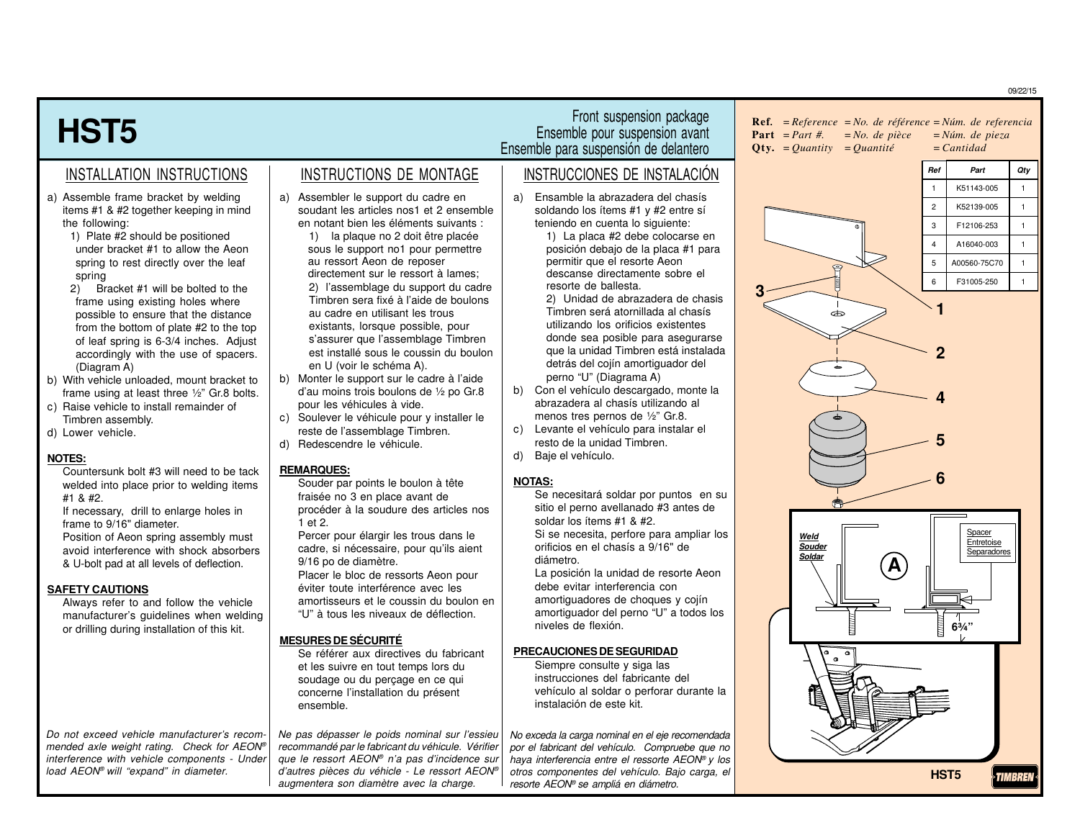# **HST5**

a) Assemble frame bracket by welding items #1 & #2 together keeping in mind the following:

> 1) Plate #2 should be positioned under bracket #1 to allow the Aeon spring to rest directly over the leaf spring

2) Bracket #1 will be bolted to the frame using existing holes where possible to ensure that the distance from the bottom of plate #2 to the top of leaf spring is 6-3/4 inches. Adjust accordingly with the use of spacers. (Diagram A)

- b) With vehicle unloaded, mount bracket to frame using at least three ½" Gr.8 bolts.
- c) Raise vehicle to install remainder of Timbren assembly.
- d) Lower vehicle.

#### **NOTES:**

Countersunk bolt #3 will need to be tack welded into place prior to welding items #1 & #2.

If necessary, drill to enlarge holes in frame to 9/16" diameter.

Position of Aeon spring assembly must avoid interference with shock absorbers & U-bolt pad at all levels of deflection.

#### **SAFETY CAUTIONS**

Always refer to and follow the vehicle manufacturer's guidelines when welding or drilling during installation of this kit.

Do not exceed vehicle manufacturer's recommended axle weight rating. Check for AEON® interference with vehicle components - Under load AEON® will "expand" in diameter.

## Front suspension package Ensemble pour suspension avant Ensemble para suspensión de delantero

a) Assembler le support du cadre en soudant les articles nos1 et 2 ensemble en notant bien les éléments suivants : 1) la plaque no 2 doit être placée sous le support no1 pour permettre au ressort Aeon de reposer directement sur le ressort à lames; 2) l'assemblage du support du cadre Timbren sera fixé à l'aide de boulons au cadre en utilisant les trous existants, lorsque possible, pour <sup>s</sup>'assurer que l'assemblage Timbren est installé sous le coussin du boulon

en U (voir le schéma A). b) Monter le support sur le cadre à l'aide d'au moins trois boulons de ½ po Gr.8

pour les véhicules à vide. c) Soulever le véhicule pour y installer le reste de l'assemblage Timbren.

Souder par points le boulon à tête fraisée no 3 en place avant de procéder à la soudure des articles nos

Percer pour élargir les trous dans le cadre, si nécessaire, pour qu'ils aient

Placer le bloc de ressorts Aeon pour éviter toute interférence avec les amortisseurs et le coussin du boulon en "U" à tous les niveaux de déflection.

Se référer aux directives du fabricant et les suivre en tout temps lors du soudage ou du perçage en ce qui concerne l'installation du présent

Ne pas dépasser le poids nominal sur l'essieu recommandé par le fabricant du véhicule. Vérifier que le ressort AEON® n'a pas d'incidence sur d'autres pièces du véhicle - Le ressort AEON® augmentera son diamètre avec la charge.

d) Redescendre le véhicule.

9/16 po de diamètre.

**MESURES DE SÉCURITÉ**

ensemble.

**REMARQUES:**

1 et 2.

# INSTALLATION INSTRUCTIONS | INSTRUCTIONS DE MONTAGE | INSTRUCCIONES DE INSTALACIÓN

- a) Ensamble la abrazadera del chasís soldando los ítems #1 y #2 entre sí teniendo en cuenta lo siguiente:
	- 1) La placa #2 debe colocarse en posición debajo de la placa #1 para permitir que el resorte Aeon descanse directamente sobre el resorte de ballesta.

2) Unidad de abrazadera de chasis Timbren será atornillada al chasís utilizando los orificios existentes donde sea posible para asegurarse que la unidad Timbren está instalada detrás del cojín amortiguador del perno "U" (Diagrama A)

- b) Con el vehículo descargado, monte la abrazadera al chasís utilizando al menos tres pernos de ½" Gr.8.
- c) Levante el vehículo para instalar el resto de la unidad Timbren. d) Baje el vehículo.
- 

#### **NOTAS:**

Se necesitará soldar por puntos en su sitio el perno avellanado #3 antes de soldar los ítems #1 & #2. Si se necesita, perfore para ampliar los orificios en el chasís a 9/16" de diámetro.

La posición la unidad de resorte Aeon debe evitar interferencia con amortiguadores de choques y cojín amortiguador del perno "U" a todos los niveles de flexión.

#### **PRECAUCIONES DE SEGURIDAD**

Siempre consulte y siga las instrucciones del fabricante del vehículo al soldar o perforar durante la instalación de este kit.

No exceda la carga nominal en el eje recomendada por el fabricant del vehículo. Compruebe que no haya interferencia entre el ressorte AEON® y los otros componentes del vehículo. Bajo carga, el resorte AEON® se ampliá en diámetro.

**Ref***. =Reference =No. de référence =Núm. de referencia* **Part** *=Part #. =No. de pièce =Núm. de pieza* **Qty.** *<sup>=</sup> Quantity <sup>=</sup> Quantité =Cantidad*



09/22/15